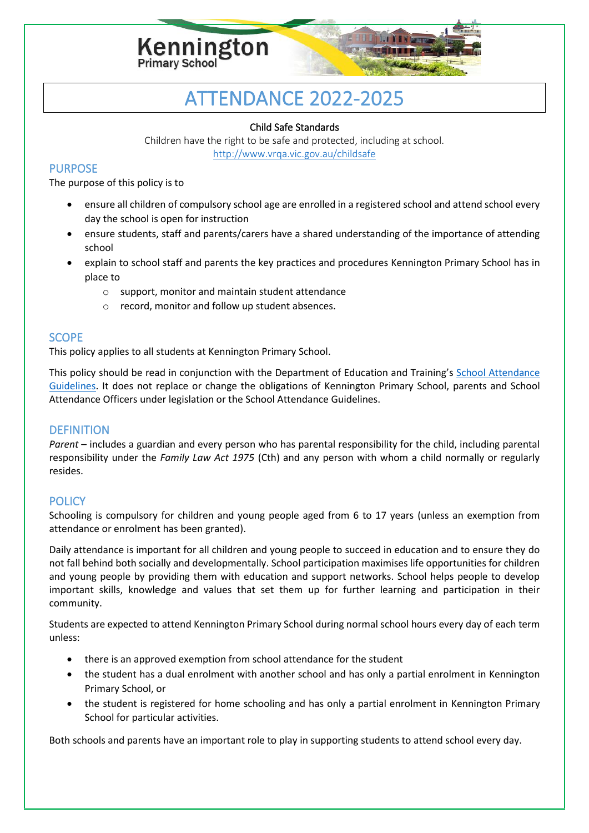

# ATTENDANCE 2022-2025

#### Child Safe Standards

Children have the right to be safe and protected, including at school. <http://www.vrqa.vic.gov.au/childsafe>

## PURPOSE

The purpose of this policy is to

- ensure all children of compulsory school age are enrolled in a registered school and attend school every day the school is open for instruction
- ensure students, staff and parents/carers have a shared understanding of the importance of attending school
- explain to school staff and parents the key practices and procedures Kennington Primary School has in place to
	- o support, monitor and maintain student attendance
	- o record, monitor and follow up student absences.

## **SCOPE**

This policy applies to all students at Kennington Primary School.

This policy should be read in conjunction with the Department of Education and Training's [School Attendance](http://www.education.vic.gov.au/school/teachers/studentmanagement/Pages/attendance.aspx)  [Guidelines.](http://www.education.vic.gov.au/school/teachers/studentmanagement/Pages/attendance.aspx) It does not replace or change the obligations of Kennington Primary School, parents and School Attendance Officers under legislation or the School Attendance Guidelines.

# **DEFINITION**

*Parent* – includes a guardian and every person who has parental responsibility for the child, including parental responsibility under the *Family Law Act 1975* (Cth) and any person with whom a child normally or regularly resides.

# **POLICY**

Schooling is compulsory for children and young people aged from 6 to 17 years (unless an exemption from attendance or enrolment has been granted).

Daily attendance is important for all children and young people to succeed in education and to ensure they do not fall behind both socially and developmentally. School participation maximises life opportunities for children and young people by providing them with education and support networks. School helps people to develop important skills, knowledge and values that set them up for further learning and participation in their community.

Students are expected to attend Kennington Primary School during normal school hours every day of each term unless:

- there is an approved exemption from school attendance for the student
- the student has a dual enrolment with another school and has only a partial enrolment in Kennington Primary School, or
- the student is registered for home schooling and has only a partial enrolment in Kennington Primary School for particular activities.

Both schools and parents have an important role to play in supporting students to attend school every day.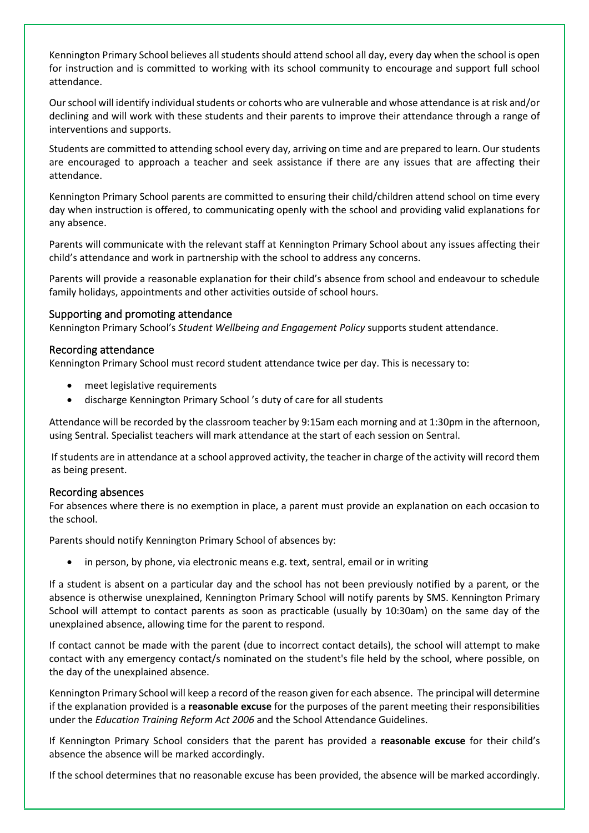Kennington Primary School believes all students should attend school all day, every day when the school is open for instruction and is committed to working with its school community to encourage and support full school attendance.

Our school will identify individual students or cohorts who are vulnerable and whose attendance is at risk and/or declining and will work with these students and their parents to improve their attendance through a range of interventions and supports.

Students are committed to attending school every day, arriving on time and are prepared to learn. Our students are encouraged to approach a teacher and seek assistance if there are any issues that are affecting their attendance.

Kennington Primary School parents are committed to ensuring their child/children attend school on time every day when instruction is offered, to communicating openly with the school and providing valid explanations for any absence.

Parents will communicate with the relevant staff at Kennington Primary School about any issues affecting their child's attendance and work in partnership with the school to address any concerns.

Parents will provide a reasonable explanation for their child's absence from school and endeavour to schedule family holidays, appointments and other activities outside of school hours.

#### Supporting and promoting attendance

Kennington Primary School's *Student Wellbeing and Engagement Policy* supports student attendance.

#### Recording attendance

Kennington Primary School must record student attendance twice per day. This is necessary to:

- meet legislative requirements
- discharge Kennington Primary School 's duty of care for all students

Attendance will be recorded by the classroom teacher by 9:15am each morning and at 1:30pm in the afternoon, using Sentral. Specialist teachers will mark attendance at the start of each session on Sentral.

If students are in attendance at a school approved activity, the teacher in charge of the activity will record them as being present.

#### Recording absences

For absences where there is no exemption in place, a parent must provide an explanation on each occasion to the school.

Parents should notify Kennington Primary School of absences by:

in person, by phone, via electronic means e.g. text, sentral, email or in writing

If a student is absent on a particular day and the school has not been previously notified by a parent, or the absence is otherwise unexplained, Kennington Primary School will notify parents by SMS. Kennington Primary School will attempt to contact parents as soon as practicable (usually by 10:30am) on the same day of the unexplained absence, allowing time for the parent to respond.

If contact cannot be made with the parent (due to incorrect contact details), the school will attempt to make contact with any emergency contact/s nominated on the student's file held by the school, where possible, on the day of the unexplained absence.

Kennington Primary School will keep a record of the reason given for each absence. The principal will determine if the explanation provided is a **reasonable excuse** for the purposes of the parent meeting their responsibilities under the *Education Training Reform Act 2006* and the School Attendance Guidelines.

If Kennington Primary School considers that the parent has provided a **reasonable excuse** for their child's absence the absence will be marked accordingly.

If the school determines that no reasonable excuse has been provided, the absence will be marked accordingly.